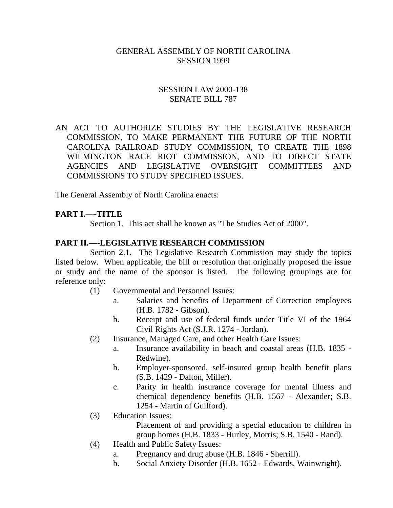#### GENERAL ASSEMBLY OF NORTH CAROLINA SESSION 1999

### SESSION LAW 2000-138 SENATE BILL 787

AN ACT TO AUTHORIZE STUDIES BY THE LEGISLATIVE RESEARCH COMMISSION, TO MAKE PERMANENT THE FUTURE OF THE NORTH CAROLINA RAILROAD STUDY COMMISSION, TO CREATE THE 1898 WILMINGTON RACE RIOT COMMISSION, AND TO DIRECT STATE AGENCIES AND LEGISLATIVE OVERSIGHT COMMITTEES AND COMMISSIONS TO STUDY SPECIFIED ISSUES.

The General Assembly of North Carolina enacts:

### **PART I.––-TITLE**

Section 1. This act shall be known as "The Studies Act of 2000".

#### **PART II.––-LEGISLATIVE RESEARCH COMMISSION**

Section 2.1. The Legislative Research Commission may study the topics listed below. When applicable, the bill or resolution that originally proposed the issue or study and the name of the sponsor is listed. The following groupings are for reference only:

- (1) Governmental and Personnel Issues:
	- a. Salaries and benefits of Department of Correction employees (H.B. 1782 - Gibson).
	- b. Receipt and use of federal funds under Title VI of the 1964 Civil Rights Act (S.J.R. 1274 - Jordan).
- (2) Insurance, Managed Care, and other Health Care Issues:
	- a. Insurance availability in beach and coastal areas (H.B. 1835 Redwine).
	- b. Employer-sponsored, self-insured group health benefit plans (S.B. 1429 - Dalton, Miller).
	- c. Parity in health insurance coverage for mental illness and chemical dependency benefits (H.B. 1567 - Alexander; S.B. 1254 - Martin of Guilford).
- (3) Education Issues:

Placement of and providing a special education to children in group homes (H.B. 1833 - Hurley, Morris; S.B. 1540 - Rand).

- (4) Health and Public Safety Issues:
	- a. Pregnancy and drug abuse (H.B. 1846 Sherrill).
	- b. Social Anxiety Disorder (H.B. 1652 Edwards, Wainwright).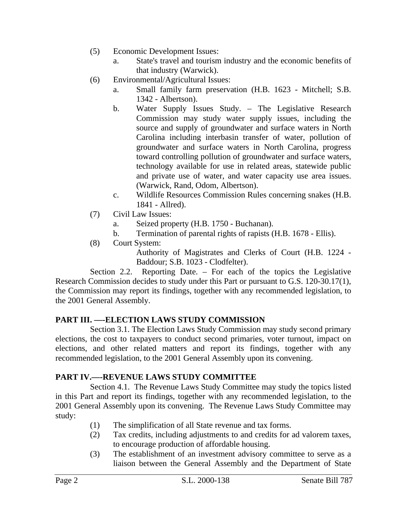- (5) Economic Development Issues:
	- a. State's travel and tourism industry and the economic benefits of that industry (Warwick).
- (6) Environmental/Agricultural Issues:
	- a. Small family farm preservation (H.B. 1623 Mitchell; S.B. 1342 - Albertson).
		- b. Water Supply Issues Study. The Legislative Research Commission may study water supply issues, including the source and supply of groundwater and surface waters in North Carolina including interbasin transfer of water, pollution of groundwater and surface waters in North Carolina, progress toward controlling pollution of groundwater and surface waters, technology available for use in related areas, statewide public and private use of water, and water capacity use area issues. (Warwick, Rand, Odom, Albertson).
		- c. Wildlife Resources Commission Rules concerning snakes (H.B. 1841 - Allred).
- (7) Civil Law Issues:
	- a. Seized property (H.B. 1750 Buchanan).
	- b. Termination of parental rights of rapists (H.B. 1678 Ellis).
- (8) Court System:

Authority of Magistrates and Clerks of Court (H.B. 1224 - Baddour; S.B. 1023 - Clodfelter).

Section 2.2. Reporting Date. – For each of the topics the Legislative Research Commission decides to study under this Part or pursuant to G.S. 120-30.17(1), the Commission may report its findings, together with any recommended legislation, to the 2001 General Assembly.

# **PART III. ––-ELECTION LAWS STUDY COMMISSION**

Section 3.1. The Election Laws Study Commission may study second primary elections, the cost to taxpayers to conduct second primaries, voter turnout, impact on elections, and other related matters and report its findings, together with any recommended legislation, to the 2001 General Assembly upon its convening.

# **PART IV.––-REVENUE LAWS STUDY COMMITTEE**

Section 4.1. The Revenue Laws Study Committee may study the topics listed in this Part and report its findings, together with any recommended legislation, to the 2001 General Assembly upon its convening. The Revenue Laws Study Committee may study:

- (1) The simplification of all State revenue and tax forms.
- (2) Tax credits, including adjustments to and credits for ad valorem taxes, to encourage production of affordable housing.
- (3) The establishment of an investment advisory committee to serve as a liaison between the General Assembly and the Department of State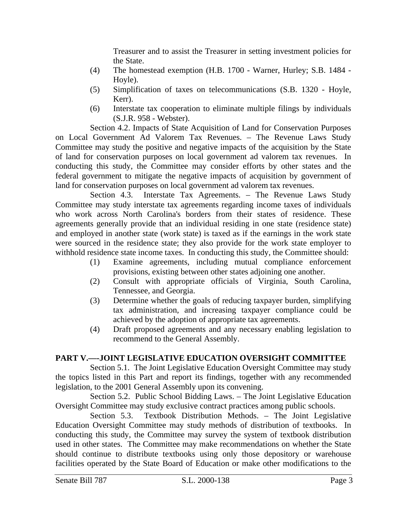Treasurer and to assist the Treasurer in setting investment policies for the State.

- (4) The homestead exemption (H.B. 1700 Warner, Hurley; S.B. 1484 Hoyle).
- (5) Simplification of taxes on telecommunications (S.B. 1320 Hoyle, Kerr).
- (6) Interstate tax cooperation to eliminate multiple filings by individuals (S.J.R. 958 - Webster).

Section 4.2. Impacts of State Acquisition of Land for Conservation Purposes on Local Government Ad Valorem Tax Revenues. – The Revenue Laws Study Committee may study the positive and negative impacts of the acquisition by the State of land for conservation purposes on local government ad valorem tax revenues. In conducting this study, the Committee may consider efforts by other states and the federal government to mitigate the negative impacts of acquisition by government of land for conservation purposes on local government ad valorem tax revenues.

Section 4.3. Interstate Tax Agreements. – The Revenue Laws Study Committee may study interstate tax agreements regarding income taxes of individuals who work across North Carolina's borders from their states of residence. These agreements generally provide that an individual residing in one state (residence state) and employed in another state (work state) is taxed as if the earnings in the work state were sourced in the residence state; they also provide for the work state employer to withhold residence state income taxes. In conducting this study, the Committee should:

- (1) Examine agreements, including mutual compliance enforcement provisions, existing between other states adjoining one another.
- (2) Consult with appropriate officials of Virginia, South Carolina, Tennessee, and Georgia.
- (3) Determine whether the goals of reducing taxpayer burden, simplifying tax administration, and increasing taxpayer compliance could be achieved by the adoption of appropriate tax agreements.
- (4) Draft proposed agreements and any necessary enabling legislation to recommend to the General Assembly.

# **PART V.––-JOINT LEGISLATIVE EDUCATION OVERSIGHT COMMITTEE**

Section 5.1. The Joint Legislative Education Oversight Committee may study the topics listed in this Part and report its findings, together with any recommended legislation, to the 2001 General Assembly upon its convening.

Section 5.2. Public School Bidding Laws. – The Joint Legislative Education Oversight Committee may study exclusive contract practices among public schools.

Section 5.3. Textbook Distribution Methods. – The Joint Legislative Education Oversight Committee may study methods of distribution of textbooks. In conducting this study, the Committee may survey the system of textbook distribution used in other states. The Committee may make recommendations on whether the State should continue to distribute textbooks using only those depository or warehouse facilities operated by the State Board of Education or make other modifications to the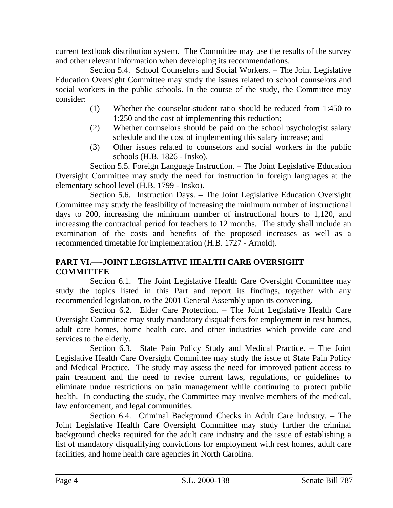current textbook distribution system. The Committee may use the results of the survey and other relevant information when developing its recommendations.

Section 5.4. School Counselors and Social Workers. – The Joint Legislative Education Oversight Committee may study the issues related to school counselors and social workers in the public schools. In the course of the study, the Committee may consider:

- (1) Whether the counselor-student ratio should be reduced from 1:450 to 1:250 and the cost of implementing this reduction;
- (2) Whether counselors should be paid on the school psychologist salary schedule and the cost of implementing this salary increase; and
- (3) Other issues related to counselors and social workers in the public schools (H.B. 1826 - Insko).

Section 5.5. Foreign Language Instruction. – The Joint Legislative Education Oversight Committee may study the need for instruction in foreign languages at the elementary school level (H.B. 1799 - Insko).

Section 5.6. Instruction Days. – The Joint Legislative Education Oversight Committee may study the feasibility of increasing the minimum number of instructional days to 200, increasing the minimum number of instructional hours to 1,120, and increasing the contractual period for teachers to 12 months. The study shall include an examination of the costs and benefits of the proposed increases as well as a recommended timetable for implementation (H.B. 1727 - Arnold).

# **PART VI.––-JOINT LEGISLATIVE HEALTH CARE OVERSIGHT COMMITTEE**

Section 6.1. The Joint Legislative Health Care Oversight Committee may study the topics listed in this Part and report its findings, together with any recommended legislation, to the 2001 General Assembly upon its convening.

Section 6.2. Elder Care Protection. – The Joint Legislative Health Care Oversight Committee may study mandatory disqualifiers for employment in rest homes, adult care homes, home health care, and other industries which provide care and services to the elderly.

Section 6.3. State Pain Policy Study and Medical Practice. – The Joint Legislative Health Care Oversight Committee may study the issue of State Pain Policy and Medical Practice. The study may assess the need for improved patient access to pain treatment and the need to revise current laws, regulations, or guidelines to eliminate undue restrictions on pain management while continuing to protect public health. In conducting the study, the Committee may involve members of the medical, law enforcement, and legal communities.

Section 6.4. Criminal Background Checks in Adult Care Industry. – The Joint Legislative Health Care Oversight Committee may study further the criminal background checks required for the adult care industry and the issue of establishing a list of mandatory disqualifying convictions for employment with rest homes, adult care facilities, and home health care agencies in North Carolina.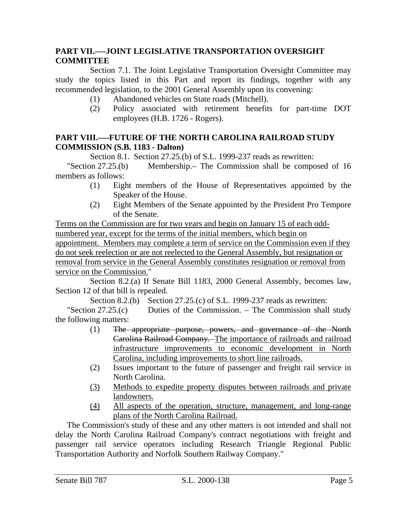# **PART VII.––-JOINT LEGISLATIVE TRANSPORTATION OVERSIGHT COMMITTEE**

Section 7.1. The Joint Legislative Transportation Oversight Committee may study the topics listed in this Part and report its findings, together with any recommended legislation, to the 2001 General Assembly upon its convening:

- (1) Abandoned vehicles on State roads (Mitchell).
- (2) Policy associated with retirement benefits for part-time DOT employees (H.B. 1726 - Rogers).

### **PART VIII.––-FUTURE OF THE NORTH CAROLINA RAILROAD STUDY COMMISSION (S.B. 1183 - Dalton)**

Section 8.1. Section 27.25.(b) of S.L. 1999-237 reads as rewritten:

"Section 27.25.(b) Membership.– The Commission shall be composed of 16 members as follows:

- (1) Eight members of the House of Representatives appointed by the Speaker of the House.
- (2) Eight Members of the Senate appointed by the President Pro Tempore of the Senate.

Terms on the Commission are for two years and begin on January 15 of each oddnumbered year, except for the terms of the initial members, which begin on appointment. Members may complete a term of service on the Commission even if they do not seek reelection or are not reelected to the General Assembly, but resignation or removal from service in the General Assembly constitutes resignation or removal from service on the Commission."

Section 8.2.(a) If Senate Bill 1183, 2000 General Assembly, becomes law, Section 12 of that bill is repealed.

Section 8.2.(b) Section 27.25.(c) of S.L. 1999-237 reads as rewritten:

"Section 27.25.(c) Duties of the Commission. – The Commission shall study the following matters:

- (1) The appropriate purpose, powers, and governance of the North Carolina Railroad Company. The importance of railroads and railroad infrastructure improvements to economic development in North Carolina, including improvements to short line railroads.
- (2) Issues important to the future of passenger and freight rail service in North Carolina.
- (3) Methods to expedite property disputes between railroads and private landowners.
- (4) All aspects of the operation, structure, management, and long-range plans of the North Carolina Railroad.

The Commission's study of these and any other matters is not intended and shall not delay the North Carolina Railroad Company's contract negotiations with freight and passenger rail service operators including Research Triangle Regional Public Transportation Authority and Norfolk Southern Railway Company."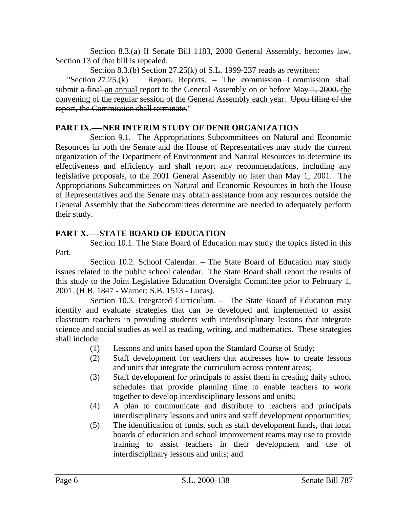Section 8.3.(a) If Senate Bill 1183, 2000 General Assembly, becomes law, Section 13 of that bill is repealed.

Section 8.3.(b) Section 27.25(k) of S.L. 1999-237 reads as rewritten:

"Section  $27.25(k)$  Report. Reports. – The commission Commission shall submit a final an annual report to the General Assembly on or before May 1, 2000. the convening of the regular session of the General Assembly each year. Upon filing of the report, the Commission shall terminate."

# **PART IX.––-NER INTERIM STUDY OF DENR ORGANIZATION**

Section 9.1. The Appropriations Subcommittees on Natural and Economic Resources in both the Senate and the House of Representatives may study the current organization of the Department of Environment and Natural Resources to determine its effectiveness and efficiency and shall report any recommendations, including any legislative proposals, to the 2001 General Assembly no later than May 1, 2001. The Appropriations Subcommittees on Natural and Economic Resources in both the House of Representatives and the Senate may obtain assistance from any resources outside the General Assembly that the Subcommittees determine are needed to adequately perform their study.

# **PART X.––-STATE BOARD OF EDUCATION**

Section 10.1. The State Board of Education may study the topics listed in this Part.

Section 10.2. School Calendar. – The State Board of Education may study issues related to the public school calendar. The State Board shall report the results of this study to the Joint Legislative Education Oversight Committee prior to February 1, 2001. (H.B. 1847 - Warner; S.B. 1513 - Lucas).

Section 10.3. Integrated Curriculum. – The State Board of Education may identify and evaluate strategies that can be developed and implemented to assist classroom teachers in providing students with interdisciplinary lessons that integrate science and social studies as well as reading, writing, and mathematics. These strategies shall include:

- (1) Lessons and units based upon the Standard Course of Study;
- (2) Staff development for teachers that addresses how to create lessons and units that integrate the curriculum across content areas;
- (3) Staff development for principals to assist them in creating daily school schedules that provide planning time to enable teachers to work together to develop interdisciplinary lessons and units;
- (4) A plan to communicate and distribute to teachers and principals interdisciplinary lessons and units and staff development opportunities;
- (5) The identification of funds, such as staff development funds, that local boards of education and school improvement teams may use to provide training to assist teachers in their development and use of interdisciplinary lessons and units; and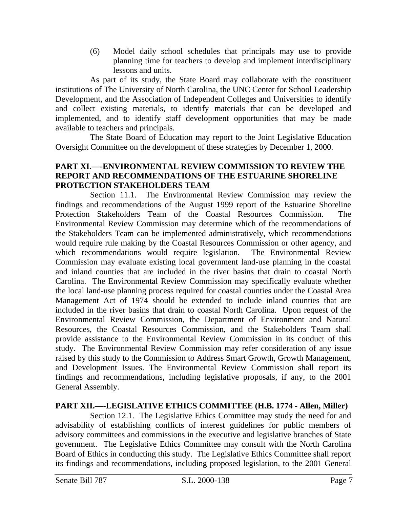(6) Model daily school schedules that principals may use to provide planning time for teachers to develop and implement interdisciplinary lessons and units.

As part of its study, the State Board may collaborate with the constituent institutions of The University of North Carolina, the UNC Center for School Leadership Development, and the Association of Independent Colleges and Universities to identify and collect existing materials, to identify materials that can be developed and implemented, and to identify staff development opportunities that may be made available to teachers and principals.

The State Board of Education may report to the Joint Legislative Education Oversight Committee on the development of these strategies by December 1, 2000.

## **PART XI.––-ENVIRONMENTAL REVIEW COMMISSION TO REVIEW THE REPORT AND RECOMMENDATIONS OF THE ESTUARINE SHORELINE PROTECTION STAKEHOLDERS TEAM**

Section 11.1. The Environmental Review Commission may review the findings and recommendations of the August 1999 report of the Estuarine Shoreline Protection Stakeholders Team of the Coastal Resources Commission. The Environmental Review Commission may determine which of the recommendations of the Stakeholders Team can be implemented administratively, which recommendations would require rule making by the Coastal Resources Commission or other agency, and which recommendations would require legislation. The Environmental Review Commission may evaluate existing local government land-use planning in the coastal and inland counties that are included in the river basins that drain to coastal North Carolina. The Environmental Review Commission may specifically evaluate whether the local land-use planning process required for coastal counties under the Coastal Area Management Act of 1974 should be extended to include inland counties that are included in the river basins that drain to coastal North Carolina. Upon request of the Environmental Review Commission, the Department of Environment and Natural Resources, the Coastal Resources Commission, and the Stakeholders Team shall provide assistance to the Environmental Review Commission in its conduct of this study. The Environmental Review Commission may refer consideration of any issue raised by this study to the Commission to Address Smart Growth, Growth Management, and Development Issues. The Environmental Review Commission shall report its findings and recommendations, including legislative proposals, if any, to the 2001 General Assembly.

# **PART XII.––-LEGISLATIVE ETHICS COMMITTEE (H.B. 1774 - Allen, Miller)**

Section 12.1. The Legislative Ethics Committee may study the need for and advisability of establishing conflicts of interest guidelines for public members of advisory committees and commissions in the executive and legislative branches of State government. The Legislative Ethics Committee may consult with the North Carolina Board of Ethics in conducting this study. The Legislative Ethics Committee shall report its findings and recommendations, including proposed legislation, to the 2001 General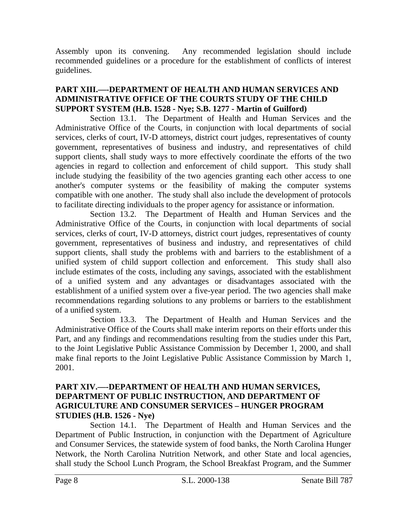Assembly upon its convening. Any recommended legislation should include recommended guidelines or a procedure for the establishment of conflicts of interest guidelines.

## **PART XIII.––-DEPARTMENT OF HEALTH AND HUMAN SERVICES AND ADMINISTRATIVE OFFICE OF THE COURTS STUDY OF THE CHILD SUPPORT SYSTEM (H.B. 1528 - Nye; S.B. 1277 - Martin of Guilford)**

Section 13.1. The Department of Health and Human Services and the Administrative Office of the Courts, in conjunction with local departments of social services, clerks of court, IV-D attorneys, district court judges, representatives of county government, representatives of business and industry, and representatives of child support clients, shall study ways to more effectively coordinate the efforts of the two agencies in regard to collection and enforcement of child support. This study shall include studying the feasibility of the two agencies granting each other access to one another's computer systems or the feasibility of making the computer systems compatible with one another. The study shall also include the development of protocols to facilitate directing individuals to the proper agency for assistance or information.

Section 13.2. The Department of Health and Human Services and the Administrative Office of the Courts, in conjunction with local departments of social services, clerks of court, IV-D attorneys, district court judges, representatives of county government, representatives of business and industry, and representatives of child support clients, shall study the problems with and barriers to the establishment of a unified system of child support collection and enforcement. This study shall also include estimates of the costs, including any savings, associated with the establishment of a unified system and any advantages or disadvantages associated with the establishment of a unified system over a five-year period. The two agencies shall make recommendations regarding solutions to any problems or barriers to the establishment of a unified system.

Section 13.3. The Department of Health and Human Services and the Administrative Office of the Courts shall make interim reports on their efforts under this Part, and any findings and recommendations resulting from the studies under this Part, to the Joint Legislative Public Assistance Commission by December 1, 2000, and shall make final reports to the Joint Legislative Public Assistance Commission by March 1, 2001.

## **PART XIV.––-DEPARTMENT OF HEALTH AND HUMAN SERVICES, DEPARTMENT OF PUBLIC INSTRUCTION, AND DEPARTMENT OF AGRICULTURE AND CONSUMER SERVICES – HUNGER PROGRAM STUDIES (H.B. 1526 - Nye)**

Section 14.1. The Department of Health and Human Services and the Department of Public Instruction, in conjunction with the Department of Agriculture and Consumer Services, the statewide system of food banks, the North Carolina Hunger Network, the North Carolina Nutrition Network, and other State and local agencies, shall study the School Lunch Program, the School Breakfast Program, and the Summer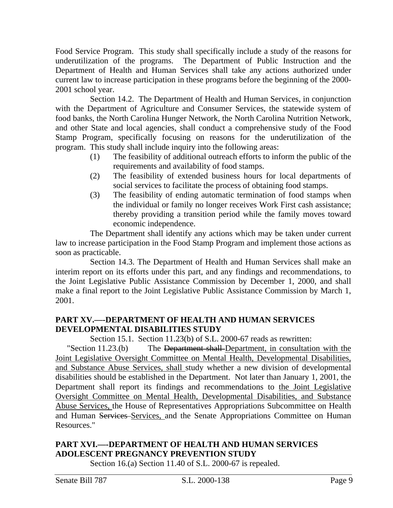Food Service Program. This study shall specifically include a study of the reasons for underutilization of the programs. The Department of Public Instruction and the Department of Health and Human Services shall take any actions authorized under current law to increase participation in these programs before the beginning of the 2000- 2001 school year.

Section 14.2. The Department of Health and Human Services, in conjunction with the Department of Agriculture and Consumer Services, the statewide system of food banks, the North Carolina Hunger Network, the North Carolina Nutrition Network, and other State and local agencies, shall conduct a comprehensive study of the Food Stamp Program, specifically focusing on reasons for the underutilization of the program. This study shall include inquiry into the following areas:

- (1) The feasibility of additional outreach efforts to inform the public of the requirements and availability of food stamps.
- (2) The feasibility of extended business hours for local departments of social services to facilitate the process of obtaining food stamps.
- (3) The feasibility of ending automatic termination of food stamps when the individual or family no longer receives Work First cash assistance; thereby providing a transition period while the family moves toward economic independence.

The Department shall identify any actions which may be taken under current law to increase participation in the Food Stamp Program and implement those actions as soon as practicable.

Section 14.3. The Department of Health and Human Services shall make an interim report on its efforts under this part, and any findings and recommendations, to the Joint Legislative Public Assistance Commission by December 1, 2000, and shall make a final report to the Joint Legislative Public Assistance Commission by March 1, 2001.

# **PART XV.––-DEPARTMENT OF HEALTH AND HUMAN SERVICES DEVELOPMENTAL DISABILITIES STUDY**

Section 15.1. Section 11.23(b) of S.L. 2000-67 reads as rewritten:

"Section 11.23.(b) The Department shall-Department, in consultation with the Joint Legislative Oversight Committee on Mental Health, Developmental Disabilities, and Substance Abuse Services, shall study whether a new division of developmental disabilities should be established in the Department. Not later than January 1, 2001, the Department shall report its findings and recommendations to the Joint Legislative Oversight Committee on Mental Health, Developmental Disabilities, and Substance Abuse Services, the House of Representatives Appropriations Subcommittee on Health and Human Services Services, and the Senate Appropriations Committee on Human Resources."

# **PART XVI.––-DEPARTMENT OF HEALTH AND HUMAN SERVICES ADOLESCENT PREGNANCY PREVENTION STUDY**

Section 16.(a) Section 11.40 of S.L. 2000-67 is repealed.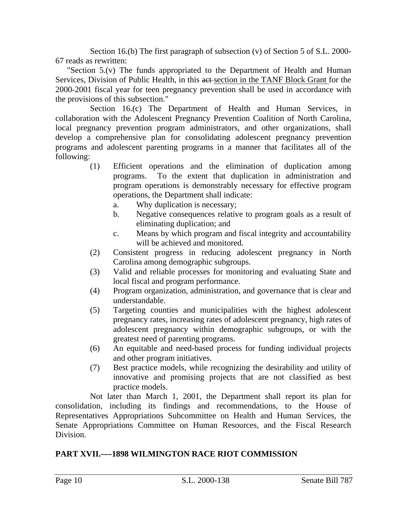Section 16.(b) The first paragraph of subsection (v) of Section 5 of S.L. 2000- 67 reads as rewritten:

"Section 5.(v) The funds appropriated to the Department of Health and Human Services, Division of Public Health, in this act section in the TANF Block Grant for the 2000-2001 fiscal year for teen pregnancy prevention shall be used in accordance with the provisions of this subsection."

Section 16.(c) The Department of Health and Human Services, in collaboration with the Adolescent Pregnancy Prevention Coalition of North Carolina, local pregnancy prevention program administrators, and other organizations, shall develop a comprehensive plan for consolidating adolescent pregnancy prevention programs and adolescent parenting programs in a manner that facilitates all of the following:

- (1) Efficient operations and the elimination of duplication among programs. To the extent that duplication in administration and program operations is demonstrably necessary for effective program operations, the Department shall indicate:
	- a. Why duplication is necessary;
	- b. Negative consequences relative to program goals as a result of eliminating duplication; and
	- c. Means by which program and fiscal integrity and accountability will be achieved and monitored.
- (2) Consistent progress in reducing adolescent pregnancy in North Carolina among demographic subgroups.
- (3) Valid and reliable processes for monitoring and evaluating State and local fiscal and program performance.
- (4) Program organization, administration, and governance that is clear and understandable.
- (5) Targeting counties and municipalities with the highest adolescent pregnancy rates, increasing rates of adolescent pregnancy, high rates of adolescent pregnancy within demographic subgroups, or with the greatest need of parenting programs.
- (6) An equitable and need-based process for funding individual projects and other program initiatives.
- (7) Best practice models, while recognizing the desirability and utility of innovative and promising projects that are not classified as best practice models.

Not later than March 1, 2001, the Department shall report its plan for consolidation, including its findings and recommendations, to the House of Representatives Appropriations Subcommittee on Health and Human Services, the Senate Appropriations Committee on Human Resources, and the Fiscal Research Division.

# **PART XVII.––-1898 WILMINGTON RACE RIOT COMMISSION**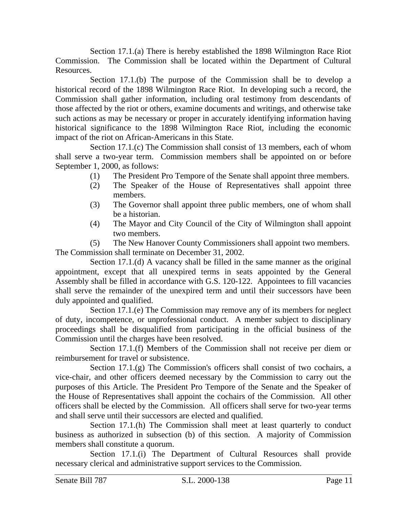Section 17.1.(a) There is hereby established the 1898 Wilmington Race Riot Commission. The Commission shall be located within the Department of Cultural Resources.

Section 17.1.(b) The purpose of the Commission shall be to develop a historical record of the 1898 Wilmington Race Riot. In developing such a record, the Commission shall gather information, including oral testimony from descendants of those affected by the riot or others, examine documents and writings, and otherwise take such actions as may be necessary or proper in accurately identifying information having historical significance to the 1898 Wilmington Race Riot, including the economic impact of the riot on African-Americans in this State.

Section 17.1.(c) The Commission shall consist of 13 members, each of whom shall serve a two-year term. Commission members shall be appointed on or before September 1, 2000, as follows:

- (1) The President Pro Tempore of the Senate shall appoint three members.
- (2) The Speaker of the House of Representatives shall appoint three members.
- (3) The Governor shall appoint three public members, one of whom shall be a historian.
- (4) The Mayor and City Council of the City of Wilmington shall appoint two members.

(5) The New Hanover County Commissioners shall appoint two members. The Commission shall terminate on December 31, 2002.

Section 17.1.(d) A vacancy shall be filled in the same manner as the original appointment, except that all unexpired terms in seats appointed by the General Assembly shall be filled in accordance with G.S. 120-122. Appointees to fill vacancies shall serve the remainder of the unexpired term and until their successors have been duly appointed and qualified.

Section 17.1.(e) The Commission may remove any of its members for neglect of duty, incompetence, or unprofessional conduct. A member subject to disciplinary proceedings shall be disqualified from participating in the official business of the Commission until the charges have been resolved.

Section 17.1.(f) Members of the Commission shall not receive per diem or reimbursement for travel or subsistence.

Section 17.1.(g) The Commission's officers shall consist of two cochairs, a vice-chair, and other officers deemed necessary by the Commission to carry out the purposes of this Article. The President Pro Tempore of the Senate and the Speaker of the House of Representatives shall appoint the cochairs of the Commission. All other officers shall be elected by the Commission. All officers shall serve for two-year terms and shall serve until their successors are elected and qualified.

Section 17.1.(h) The Commission shall meet at least quarterly to conduct business as authorized in subsection (b) of this section. A majority of Commission members shall constitute a quorum.

Section 17.1.(i) The Department of Cultural Resources shall provide necessary clerical and administrative support services to the Commission.